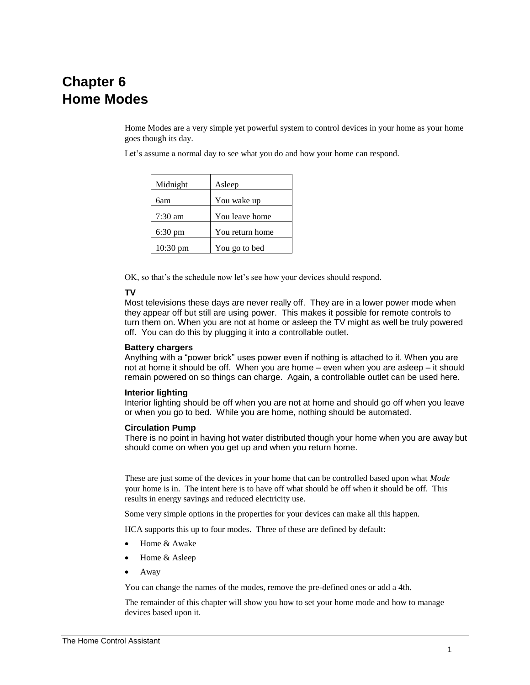# **Chapter 6 Home Modes**

Home Modes are a very simple yet powerful system to control devices in your home as your home goes though its day.

Let's assume a normal day to see what you do and how your home can respond.

| Midnight          | Asleep          |
|-------------------|-----------------|
| бат               | You wake up     |
| $7:30$ am         | You leave home  |
| $6:30 \text{ pm}$ | You return home |
| 10:30 pm          | You go to bed   |

OK, so that's the schedule now let's see how your devices should respond.

## **TV**

Most televisions these days are never really off. They are in a lower power mode when they appear off but still are using power. This makes it possible for remote controls to turn them on. When you are not at home or asleep the TV might as well be truly powered off. You can do this by plugging it into a controllable outlet.

## **Battery chargers**

Anything with a "power brick" uses power even if nothing is attached to it. When you are not at home it should be off. When you are home – even when you are asleep – it should remain powered on so things can charge. Again, a controllable outlet can be used here.

#### **Interior lighting**

Interior lighting should be off when you are not at home and should go off when you leave or when you go to bed. While you are home, nothing should be automated.

## **Circulation Pump**

There is no point in having hot water distributed though your home when you are away but should come on when you get up and when you return home.

These are just some of the devices in your home that can be controlled based upon what *Mode* your home is in. The intent here is to have off what should be off when it should be off. This results in energy savings and reduced electricity use.

Some very simple options in the properties for your devices can make all this happen.

HCA supports this up to four modes. Three of these are defined by default:

- Home & Awake
- Home & Asleep
- Away

You can change the names of the modes, remove the pre-defined ones or add a 4th.

The remainder of this chapter will show you how to set your home mode and how to manage devices based upon it.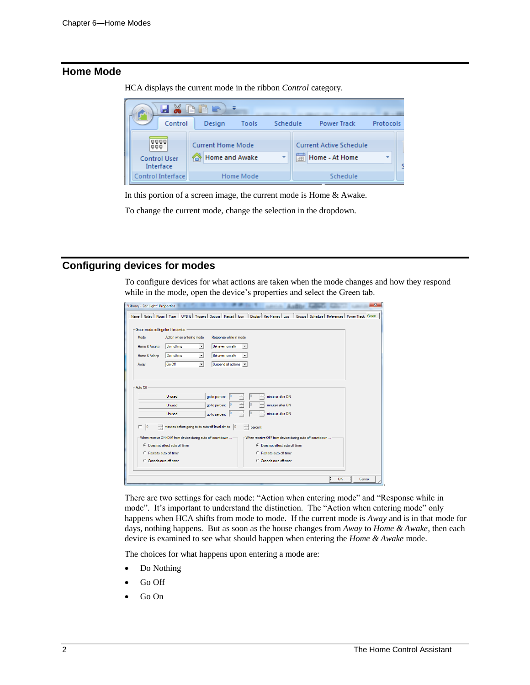# **Home Mode**

HCA displays the current mode in the ribbon *Control* category.



In this portion of a screen image, the current mode is Home & Awake.

To change the current mode, change the selection in the dropdown.

# **Configuring devices for modes**

To configure devices for what actions are taken when the mode changes and how they respond while in the mode, open the device's properties and select the Green tab.

| "Library - Bar Light" Properties                                           | $\mathbf{x}$                                                                                                                                               |
|----------------------------------------------------------------------------|------------------------------------------------------------------------------------------------------------------------------------------------------------|
|                                                                            | Name   Notes   Room   Type   UPB Id   Triggers   Options   Restart   Icon   Display   Key Names   Log   Groups   Schedule   References   Power Track Green |
|                                                                            |                                                                                                                                                            |
| Green mode settings for this device.                                       |                                                                                                                                                            |
| Response while in mode<br>Mode<br>Action when entering mode                |                                                                                                                                                            |
| Do nothing<br>Behave normally<br>Home & Awake<br>$\check{}$                |                                                                                                                                                            |
| Do nothing<br>Behave nomally<br>Home & Asleep<br>$\blacktriangledown$<br>۰ |                                                                                                                                                            |
| Go Off<br>Suspend all actions v<br>$\blacktriangledown$<br>Away            |                                                                                                                                                            |
|                                                                            |                                                                                                                                                            |
|                                                                            |                                                                                                                                                            |
| Auto Off                                                                   |                                                                                                                                                            |
| Unused<br>go to percent                                                    | minutes after ON                                                                                                                                           |
| go to percent<br>Unused                                                    | 10<br>minutes after ON                                                                                                                                     |
| go to percent<br>Unused                                                    | minutes after ON                                                                                                                                           |
|                                                                            |                                                                                                                                                            |
| minutes before going to its auto-off level dim to                          | percent                                                                                                                                                    |
| When receive ON/DIM from device during auto off countdown                  | When receive OFF from device during auto off countdown                                                                                                     |
| C Does not effect auto off timer                                           | C Does not effect auto off timer                                                                                                                           |
| C. Restarts auto off timer                                                 | C. Restarts auto off timer                                                                                                                                 |
| C Cancels auto off timer                                                   | C Cancels auto off timer                                                                                                                                   |
|                                                                            |                                                                                                                                                            |
|                                                                            | OK<br>Cancel                                                                                                                                               |

There are two settings for each mode: "Action when entering mode" and "Response while in mode". It's important to understand the distinction. The "Action when entering mode" only happens when HCA shifts from mode to mode. If the current mode is *Away* and is in that mode for days, nothing happens. But as soon as the house changes from *Away* to *Home & Awake*, then each device is examined to see what should happen when entering the *Home & Awake* mode.

The choices for what happens upon entering a mode are:

- Do Nothing
- Go Off
- Go On

.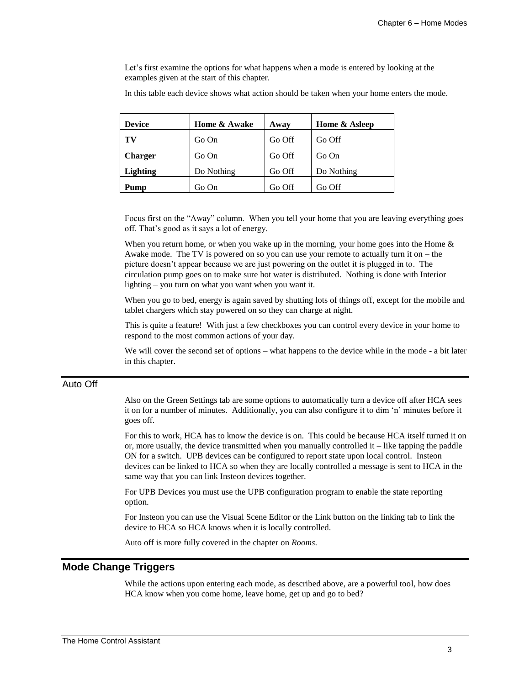Let's first examine the options for what happens when a mode is entered by looking at the examples given at the start of this chapter.

In this table each device shows what action should be taken when your home enters the mode.

| <b>Device</b>  | Home & Awake | Away   | Home & Asleep |
|----------------|--------------|--------|---------------|
| TV             | Go On        | Go Off | Go Off        |
| <b>Charger</b> | Go On        | Go Off | Go On         |
| Lighting       | Do Nothing   | Go Off | Do Nothing    |
| Pump           | Go On        | Go Off | Go Off        |

Focus first on the "Away" column. When you tell your home that you are leaving everything goes off. That's good as it says a lot of energy.

When you return home, or when you wake up in the morning, your home goes into the Home  $\&$ Awake mode. The TV is powered on so you can use your remote to actually turn it on – the picture doesn't appear because we are just powering on the outlet it is plugged in to. The circulation pump goes on to make sure hot water is distributed. Nothing is done with Interior lighting – you turn on what you want when you want it.

When you go to bed, energy is again saved by shutting lots of things off, except for the mobile and tablet chargers which stay powered on so they can charge at night.

This is quite a feature! With just a few checkboxes you can control every device in your home to respond to the most common actions of your day.

We will cover the second set of options – what happens to the device while in the mode - a bit later in this chapter.

## Auto Off

Also on the Green Settings tab are some options to automatically turn a device off after HCA sees it on for a number of minutes. Additionally, you can also configure it to dim 'n' minutes before it goes off.

For this to work, HCA has to know the device is on. This could be because HCA itself turned it on or, more usually, the device transmitted when you manually controlled it – like tapping the paddle ON for a switch. UPB devices can be configured to report state upon local control. Insteon devices can be linked to HCA so when they are locally controlled a message is sent to HCA in the same way that you can link Insteon devices together.

For UPB Devices you must use the UPB configuration program to enable the state reporting option.

For Insteon you can use the Visual Scene Editor or the Link button on the linking tab to link the device to HCA so HCA knows when it is locally controlled.

Auto off is more fully covered in the chapter on *Rooms*.

## **Mode Change Triggers**

While the actions upon entering each mode, as described above, are a powerful tool, how does HCA know when you come home, leave home, get up and go to bed?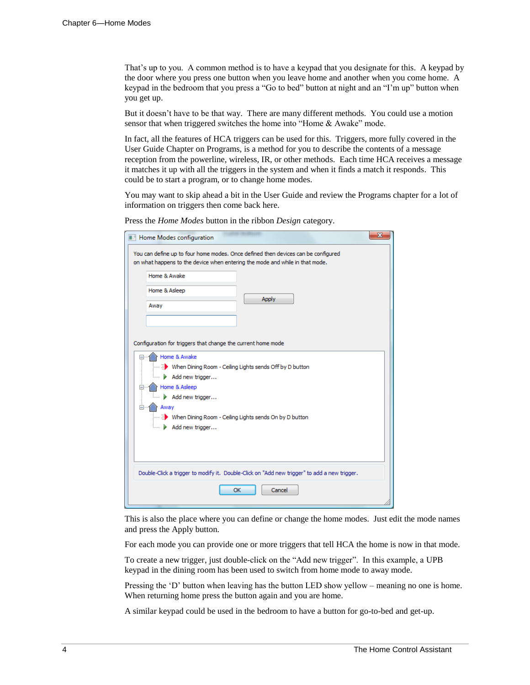That's up to you. A common method is to have a keypad that you designate for this. A keypad by the door where you press one button when you leave home and another when you come home. A keypad in the bedroom that you press a "Go to bed" button at night and an "I'm up" button when you get up.

But it doesn't have to be that way. There are many different methods. You could use a motion sensor that when triggered switches the home into "Home & Awake" mode.

In fact, all the features of HCA triggers can be used for this. Triggers, more fully covered in the User Guide Chapter on Programs, is a method for you to describe the contents of a message reception from the powerline, wireless, IR, or other methods. Each time HCA receives a message it matches it up with all the triggers in the system and when it finds a match it responds. This could be to start a program, or to change home modes.

You may want to skip ahead a bit in the User Guide and review the Programs chapter for a lot of information on triggers then come back here.

Press the *Home Modes* button in the ribbon *Design* category.

| $\mathbf{x}$<br><b>Home Modes configuration</b>                                                                                                                                                                                  |
|----------------------------------------------------------------------------------------------------------------------------------------------------------------------------------------------------------------------------------|
| You can define up to four home modes. Once defined then devices can be configured<br>on what happens to the device when entering the mode and while in that mode.                                                                |
| Home & Awake                                                                                                                                                                                                                     |
| Home & Asleep                                                                                                                                                                                                                    |
| <b>Apply</b><br>Away                                                                                                                                                                                                             |
|                                                                                                                                                                                                                                  |
| Configuration for triggers that change the current home mode                                                                                                                                                                     |
| Home & Awake<br>िल्ला से Vinen Dining Room - Ceiling Lights sends Off by D button<br>Add new trigger<br>Home & Asleep<br>Add new trigger<br>Away<br>E> When Dining Room - Ceiling Lights sends On by D button<br>Add new trigger |
| Double-Click a trigger to modify it. Double-Click on "Add new trigger" to add a new trigger.                                                                                                                                     |
| Cancel<br>OK                                                                                                                                                                                                                     |

This is also the place where you can define or change the home modes. Just edit the mode names and press the Apply button.

For each mode you can provide one or more triggers that tell HCA the home is now in that mode.

To create a new trigger, just double-click on the "Add new trigger". In this example, a UPB keypad in the dining room has been used to switch from home mode to away mode.

Pressing the 'D' button when leaving has the button LED show yellow – meaning no one is home. When returning home press the button again and you are home.

A similar keypad could be used in the bedroom to have a button for go-to-bed and get-up.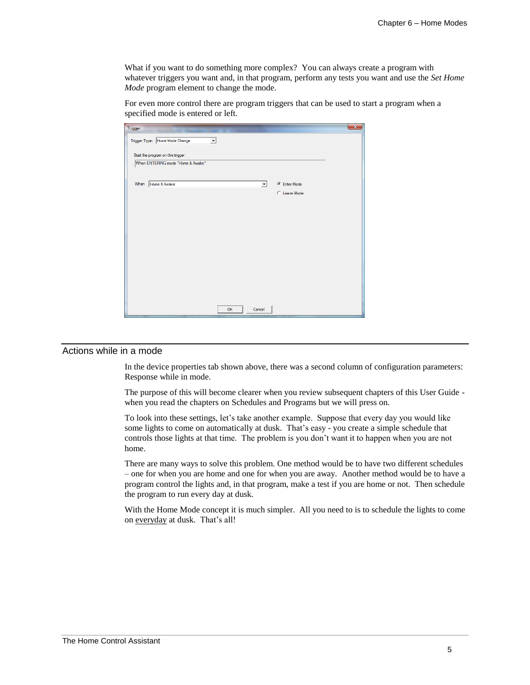What if you want to do something more complex? You can always create a program with whatever triggers you want and, in that program, perform any tests you want and use the *Set Home Mode* program element to change the mode.

For even more control there are program triggers that can be used to start a program when a specified mode is entered or left.

| Trigger |                                                                         |    |        |                   | $\mathbf{x}$ |
|---------|-------------------------------------------------------------------------|----|--------|-------------------|--------------|
|         | Trigger Type: Home Mode Change                                          | ▾  |        |                   |              |
|         |                                                                         |    |        |                   |              |
|         | Start the program on this trigger:<br>When ENTERING mode "Home & Awake" |    |        |                   |              |
|         |                                                                         |    |        |                   |              |
|         |                                                                         |    |        |                   |              |
| When    | Home & Awake                                                            |    | ᅬ      | <b>Enter Mode</b> |              |
|         |                                                                         |    |        | C Leave Mode      |              |
|         |                                                                         |    |        |                   |              |
|         |                                                                         |    |        |                   |              |
|         |                                                                         |    |        |                   |              |
|         |                                                                         |    |        |                   |              |
|         |                                                                         |    |        |                   |              |
|         |                                                                         |    |        |                   |              |
|         |                                                                         |    |        |                   |              |
|         |                                                                         |    |        |                   |              |
|         |                                                                         |    |        |                   |              |
|         |                                                                         |    |        |                   |              |
|         |                                                                         |    |        |                   |              |
|         |                                                                         |    |        |                   |              |
|         |                                                                         |    |        |                   |              |
|         |                                                                         | OK | Cancel |                   |              |

## Actions while in a mode

In the device properties tab shown above, there was a second column of configuration parameters: Response while in mode.

The purpose of this will become clearer when you review subsequent chapters of this User Guide when you read the chapters on Schedules and Programs but we will press on.

To look into these settings, let's take another example. Suppose that every day you would like some lights to come on automatically at dusk. That's easy - you create a simple schedule that controls those lights at that time. The problem is you don't want it to happen when you are not home.

There are many ways to solve this problem. One method would be to have two different schedules – one for when you are home and one for when you are away. Another method would be to have a program control the lights and, in that program, make a test if you are home or not. Then schedule the program to run every day at dusk.

With the Home Mode concept it is much simpler. All you need to is to schedule the lights to come on everyday at dusk. That's all!